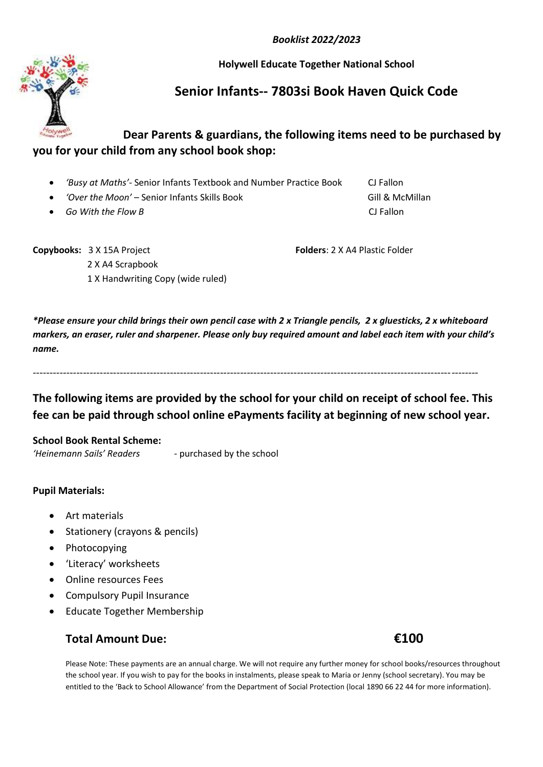*Booklist 2022/2023*

**Holywell Educate Together National School**

# **Senior Infants-- 7803si Book Haven Quick Code**

## **Dear Parents & guardians, the following items need to be purchased by you for your child from any school book shop:**

- *'Busy at Maths'-* Senior Infants Textbook and Number Practice Book CJ Fallon
- *'Over the Moon'* Senior Infants Skills Book **Gill & McMillan**
- *Go With the Flow B* **CJ Fallon**

**Copybooks:** 3 X 15A Project **Folders**: 2 X A4 Plastic Folder 2 X A4 Scrapbook 1 X Handwriting Copy (wide ruled)

*\*Please ensure your child brings their own pencil case with 2 x Triangle pencils, 2 x gluesticks, 2 x whiteboard markers, an eraser, ruler and sharpener. Please only buy required amount and label each item with your child's name.*

-------------------------------------------------------------------------------------------------------------------------------------

**The following items are provided by the school for your child on receipt of school fee. This fee can be paid through school online ePayments facility at beginning of new school year.**

#### **School Book Rental Scheme:**

*'Heinemann Sails' Readers -* purchased by the school

#### **Pupil Materials:**

- Art materials
- Stationery (crayons & pencils)
- Photocopying
- 'Literacy' worksheets
- Online resources Fees
- Compulsory Pupil Insurance
- Educate Together Membership

### **Total Amount Due: €100**

Please Note: These payments are an annual charge. We will not require any further money for school books/resources throughout the school year. If you wish to pay for the books in instalments, please speak to Maria or Jenny (school secretary). You may be entitled to the 'Back to School Allowance' from the Department of Social Protection (local 1890 66 22 44 for more information).